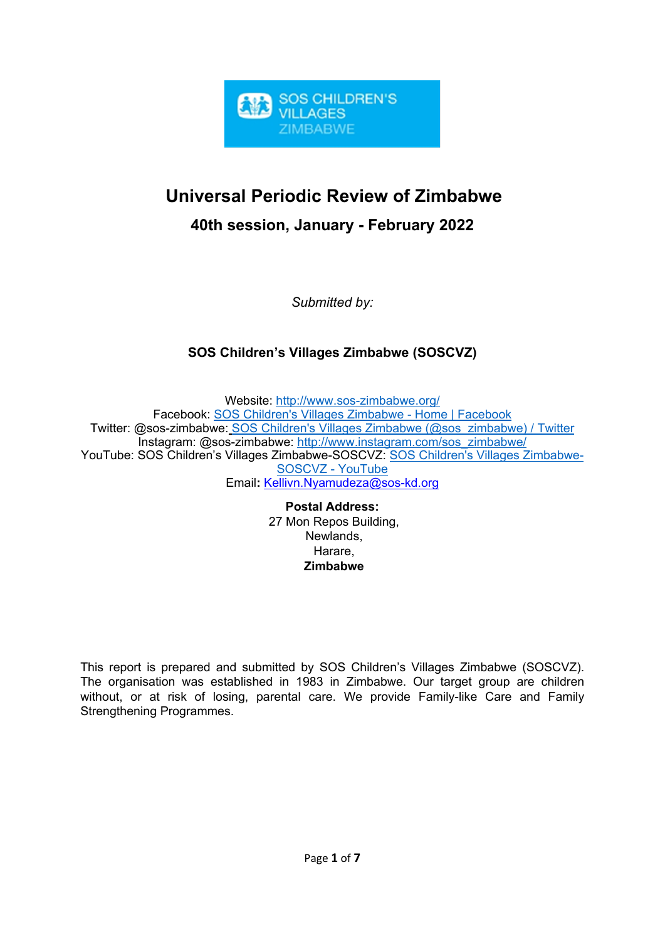

# **Universal Periodic Review of Zimbabwe**

**40th session, January - February 2022**

*Submitted by:*

# **SOS Children'<sup>s</sup> Villages Zimbabwe (SOSCVZ)**

Website: <http://www.sos-zimbabwe.org/> Facebook: SOS Children's Villages [Zimbabwe](https://www.facebook.com/soschildrensvillageszimbabwe/) - Home | Facebook Twitter: @sos-zimbabwe: SOS Children's Villages Zimbabwe [\(@sos\\_zimbabwe\)](https://twitter.com/sos_zimbabwe) / Twitter Instagram: @sos-zimbabwe: [http://www.instagram.com/sos\\_zimbabwe/](http://www.instagram.com/sos_zimbabwe/) YouTube: SOS Children'<sup>s</sup> Villages Zimbabwe-SOSCVZ: SOS Children's Villages [Zimbabwe-](https://www.youtube.com/channel/UCgQKFq_fr8_6xsfCOSQSZmA)[SOSCVZ](https://www.youtube.com/channel/UCgQKFq_fr8_6xsfCOSQSZmA) - YouTube Email**:** [Kellivn.Nyamudeza@sos-kd.org](mailto:Kellivn.Nyamudeza@sos-kd.org)

> **Postal Address:** 27 Mon Repos Building, Newlands, Harare, **Zimbabwe**

This report is prepared and submitted by SOS Children'<sup>s</sup> Villages Zimbabwe (SOSCVZ). The organisation was established in 1983 in Zimbabwe. Our target group are children without, or at risk of losing, parental care. We provide Family-like Care and Family Strengthening Programmes.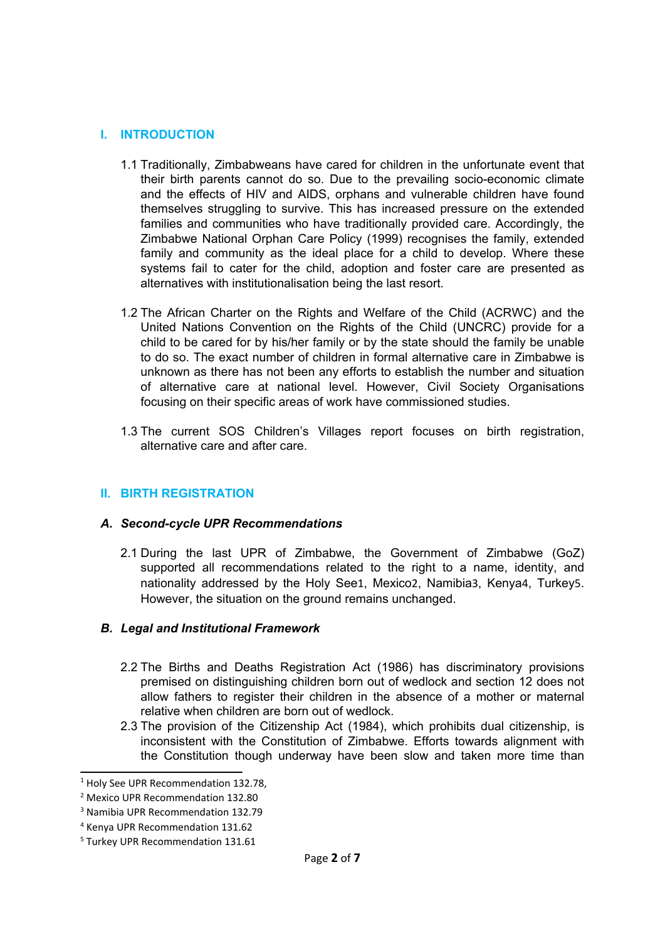#### **I. INTRODUCTION**

- 1.1 Traditionally, Zimbabweans have cared for children in the unfortunate event that their birth parents cannot do so. Due to the prevailing socio-economic climate and the effects of HIV and AIDS, orphans and vulnerable children have found themselves struggling to survive. This has increased pressure on the extended families and communities who have traditionally provided care. Accordingly, the Zimbabwe National Orphan Care Policy (1999) recognises the family, extended family and community as the ideal place for <sup>a</sup> child to develop. Where these systems fail to cater for the child, adoption and foster care are presented as alternatives with institutionalisation being the last resort.
- 1.2 The African Charter on the Rights and Welfare of the Child (ACRWC) and the United Nations Convention on the Rights of the Child (UNCRC) provide for <sup>a</sup> child to be cared for by his/her family or by the state should the family be unable to do so. The exact number of children in formal alternative care in Zimbabwe is unknown as there has not been any efforts to establish the number and situation of alternative care at national level. However, Civil Society Organisations focusing on their specific areas of work have commissioned studies.
- 1.3 The current SOS Children'<sup>s</sup> Villages report focuses on birth registration, alternative care and after care.

#### **II. BIRTH REGISTRATION**

#### *A. Second-cycle UPR Recommendations*

2.1 During the last UPR of Zimbabwe, the Government of Zimbabwe (GoZ) supported all recommendations related to the right to <sup>a</sup> name, identity, and nationality addressed by the Holy See1, Mexico2, Namibia3, Kenya<sup>4</sup>, Turkey<sup>5</sup>. However, the situation on the ground remains unchanged.

#### *B. Legal and Institutional Framework*

- 2.2 The Births and Deaths Registration Act (1986) has discriminatory provisions premised on distinguishing children born out of wedlock and section 12 does not allow fathers to register their children in the absence of <sup>a</sup> mother or maternal relative when children are born out of wedlock.
- 2.3 The provision of the Citizenship Act (1984), which prohibits dual citizenship, is inconsistent with the Constitution of Zimbabwe. Efforts towards alignment with the Constitution though underway have been slow and taken more time than

<sup>&</sup>lt;sup>1</sup> Holy See UPR Recommendation 132.78,

<sup>2</sup> Mexico UPR Recommendation 132.80

<sup>3</sup> Namibia UPR Recommendation 132.79

<sup>4</sup> Kenya UPR Recommendation 131.62

<sup>5</sup> Turkey UPR Recommendation 131.61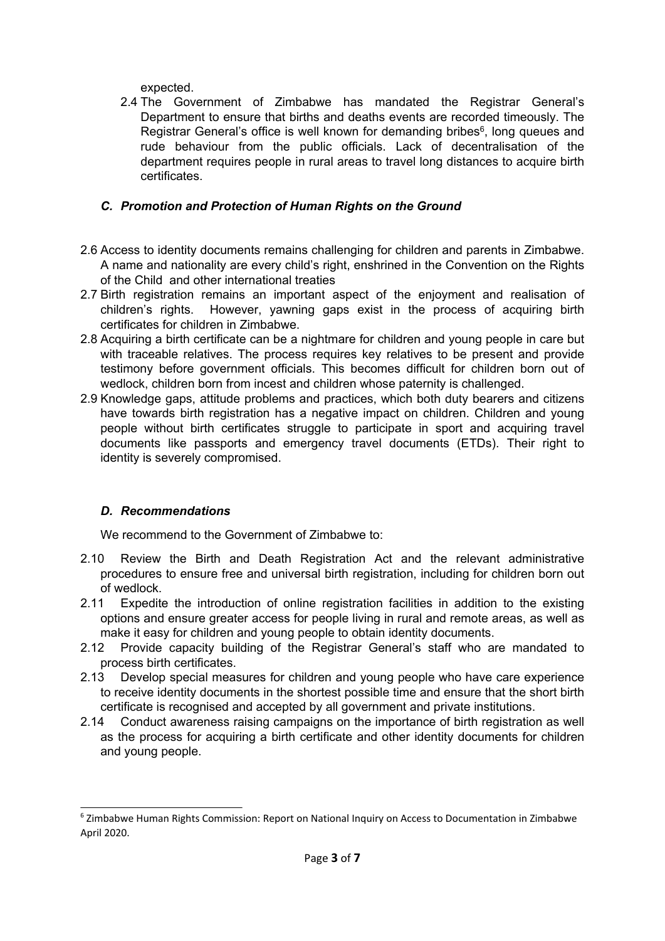expected.

2.4 The Government of Zimbabwe has mandated the Registrar General'<sup>s</sup> Department to ensure that births and deaths events are recorded timeously. The Registrar General's office is well known for demanding bribes $\rm^6$ , long queues and rude behaviour from the public officials. Lack of decentralisation of the department requires people in rural areas to travel long distances to acquire birth certificates.

# *C. Promotion and Protection of Human Rights on the Ground*

- 2.6 Access to identity documents remains challenging for children and parents in Zimbabwe. A name and nationality are every child'<sup>s</sup> right, enshrined in the Convention on the Rights of the Child and other international treaties
- 2.7 Birth registration remains an important aspect of the enjoyment and realisation of children'<sup>s</sup> rights. However, yawning gaps exist in the process of acquiring birth certificates for children in Zimbabwe.
- 2.8 Acquiring <sup>a</sup> birth certificate can be <sup>a</sup> nightmare for children and young people in care but with traceable relatives. The process requires key relatives to be present and provide testimony before government officials. This becomes difficult for children born out of wedlock, children born from incest and children whose paternity is challenged.
- 2.9 Knowledge gaps, attitude problems and practices, which both duty bearers and citizens have towards birth registration has a negative impact on children. Children and young people without birth certificates struggle to participate in sport and acquiring travel documents like passports and emergency travel documents (ETDs). Their right to identity is severely compromised.

# *D. Recommendations*

We recommend to the Government of Zimbabwe to:

- 2.10 Review the Birth and Death Registration Act and the relevant administrative procedures to ensure free and universal birth registration, including for children born out of wedlock.
- 2.11 Expedite the introduction of online registration facilities in addition to the existing options and ensure greater access for people living in rural and remote areas, as well as make it easy for children and young people to obtain identity documents.
- 2.12 Provide capacity building of the Registrar General'<sup>s</sup> staff who are mandated to process birth certificates.
- 2.13 Develop special measures for children and young people who have care experience to receive identity documents in the shortest possible time and ensure that the short birth certificate is recognised and accepted by all government and private institutions.
- 2.14 Conduct awareness raising campaigns on the importance of birth registration as well as the process for acquiring <sup>a</sup> birth certificate and other identity documents for children and young people.

<sup>6</sup> Zimbabwe Human Rights Commission: Report on National Inquiry on Access to Documentation in Zimbabwe April 2020.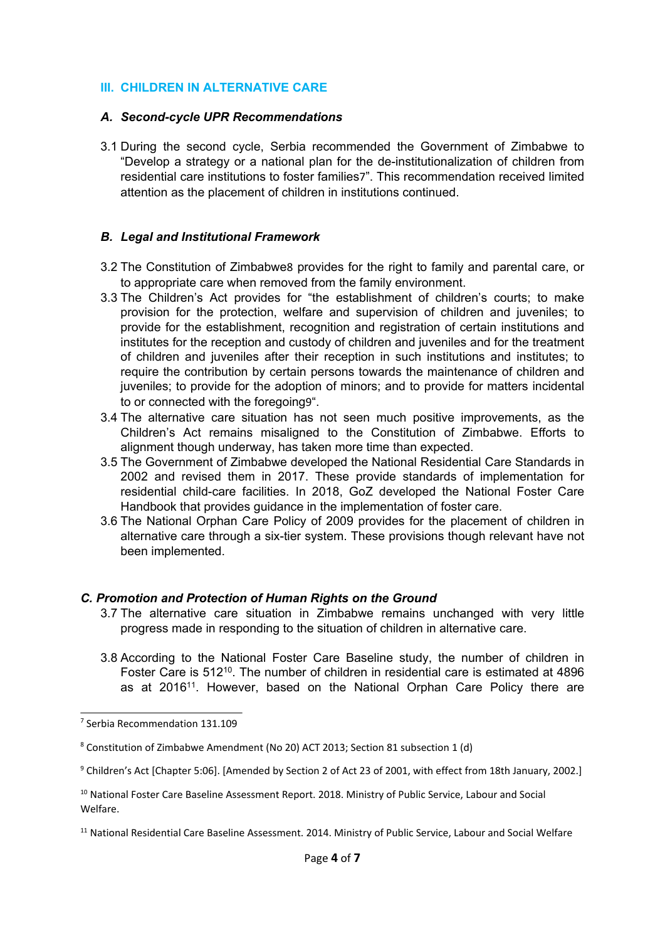#### **III. CHILDREN IN ALTERNATIVE CARE**

#### *A. Second-cycle UPR Recommendations*

3.1 During the second cycle, Serbia recommended the Government of Zimbabwe to "Develop <sup>a</sup> strategy or <sup>a</sup> national plan for the de-institutionalization of children from residential care institutions to foster families7". This recommendation received limited attention as the placement of children in institutions continued.

#### *B. Legal and Institutional Framework*

- 3.2 The Constitution of Zimbabwe<sup>8</sup> provides for the right to family and parental care, or to appropriate care when removed from the family environment.
- 3.3 The Children'<sup>s</sup> Act provides for "the establishment of children'<sup>s</sup> courts; to make provision for the protection, welfare and supervision of children and juveniles; to provide for the establishment, recognition and registration of certain institutions and institutes for the reception and custody of children and juveniles and for the treatment of children and juveniles after their reception in such institutions and institutes; to require the contribution by certain persons towards the maintenance of children and juveniles; to provide for the adoption of minors; and to provide for matters incidental to or connected with the foregoing9".
- 3.4 The alternative care situation has not seen much positive improvements, as the Children'<sup>s</sup> Act remains misaligned to the Constitution of Zimbabwe. Efforts to alignment though underway, has taken more time than expected.
- 3.5 The Government of Zimbabwe developed the National Residential Care Standards in 2002 and revised them in 2017. These provide standards of implementation for residential child-care facilities. In 2018, GoZ developed the National Foster Care Handbook that provides guidance in the implementation of foster care.
- 3.6 The National Orphan Care Policy of 2009 provides for the placement of children in alternative care through <sup>a</sup> six-tier system. These provisions though relevant have not been implemented.

#### *C. Promotion and Protection of Human Rights on the Ground*

- 3.7 The alternative care situation in Zimbabwe remains unchanged with very little progress made in responding to the situation of children in alternative care.
- 3.8 According to the National Foster Care Baseline study, the number of children in Foster Care is 512 $^{\rm 10}$ . The number of children in residential care is estimated at 4896 as at 2016<sup>11</sup>. However, based on the National Orphan Care Policy there are

<sup>9</sup> Children's Act [Chapter 5:06]. [Amended by Section 2 of Act 23 of 2001, with effect from 18th January, 2002.]

<sup>7</sup> Serbia Recommendation 131.109

<sup>8</sup> Constitution of Zimbabwe Amendment (No 20) ACT 2013; Section 81 subsection 1 (d)

 $^{10}$  National Foster Care Baseline Assessment Report. 2018. Ministry of Public Service, Labour and Social Welfare.

<sup>&</sup>lt;sup>11</sup> National Residential Care Baseline Assessment. 2014. Ministry of Public Service, Labour and Social Welfare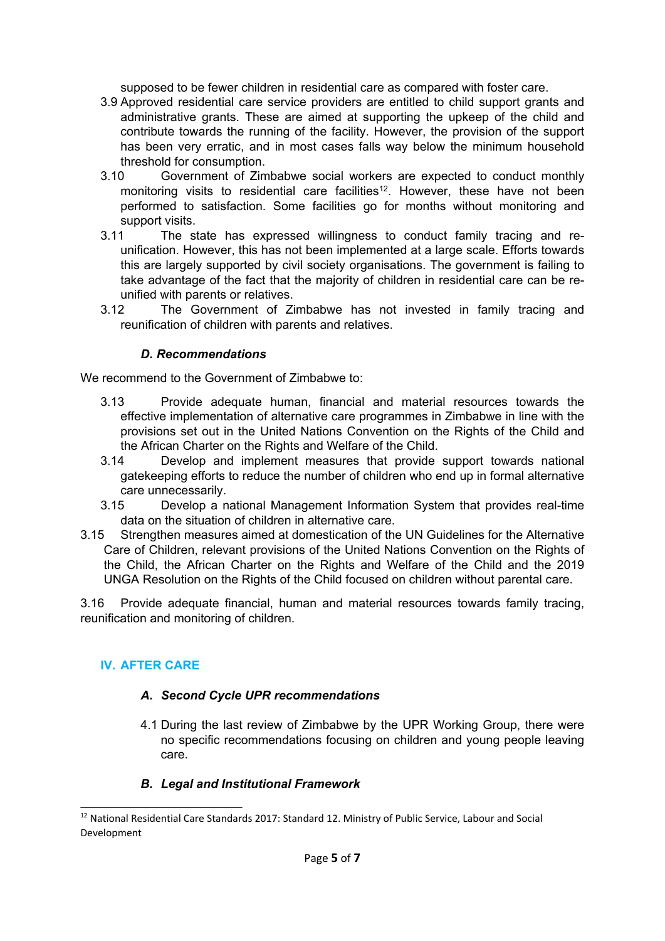supposed to be fewer children in residential care as compared with foster care.

- 3.9 Approved residential care service providers are entitled to child support grants and administrative grants. These are aimed at supporting the upkeep of the child and contribute towards the running of the facility. However, the provision of the support has been very erratic, and in most cases falls way below the minimum household threshold for consumption.
- 3.10 Government of Zimbabwe social workers are expected to conduct monthly monitoring visits to residential care facilities $^{\rm 12}.$  However, these have not been performed to satisfaction. Some facilities go for months without monitoring and support visits.
- 3.11 The state has expressed willingness to conduct family tracing and reunification. However, this has not been implemented at <sup>a</sup> large scale. Efforts towards this are largely supported by civil society organisations. The government is failing to take advantage of the fact that the majority of children in residential care can be reunified with parents or relatives.
- 3.12 The Government of Zimbabwe has not invested in family tracing and reunification of children with parents and relatives.

#### *D. Recommendations*

We recommend to the Government of Zimbabwe to:

- 3.13 Provide adequate human, financial and material resources towards the effective implementation of alternative care programmes in Zimbabwe in line with the provisions set out in the United Nations Convention on the Rights of the Child and the African Charter on the Rights and Welfare of the Child.
- 3.14 Develop and implement measures that provide support towards national gatekeeping efforts to reduce the number of children who end up in formal alternative care unnecessarily.
- 3.15 Develop <sup>a</sup> national Management Information System that provides real-time data on the situation of children in alternative care.
- 3.15 Strengthen measures aimed at domestication of the UN Guidelines for the Alternative Care of Children, relevant provisions of the United Nations Convention on the Rights of the Child, the African Charter on the Rights and Welfare of the Child and the 2019 UNGA Resolution on the Rights of the Child focused on children without parental care.

3.16 Provide adequate financial, human and material resources towards family tracing, reunification and monitoring of children.

# **IV. AFTER CARE**

# *A. Second Cycle UPR recommendations*

4.1 During the last review of Zimbabwe by the UPR Working Group, there were no specific recommendations focusing on children and young people leaving care.

#### *B. Legal and Institutional Framework*

 $^{12}$  National Residential Care Standards 2017: Standard 12. Ministry of Public Service, Labour and Socia Development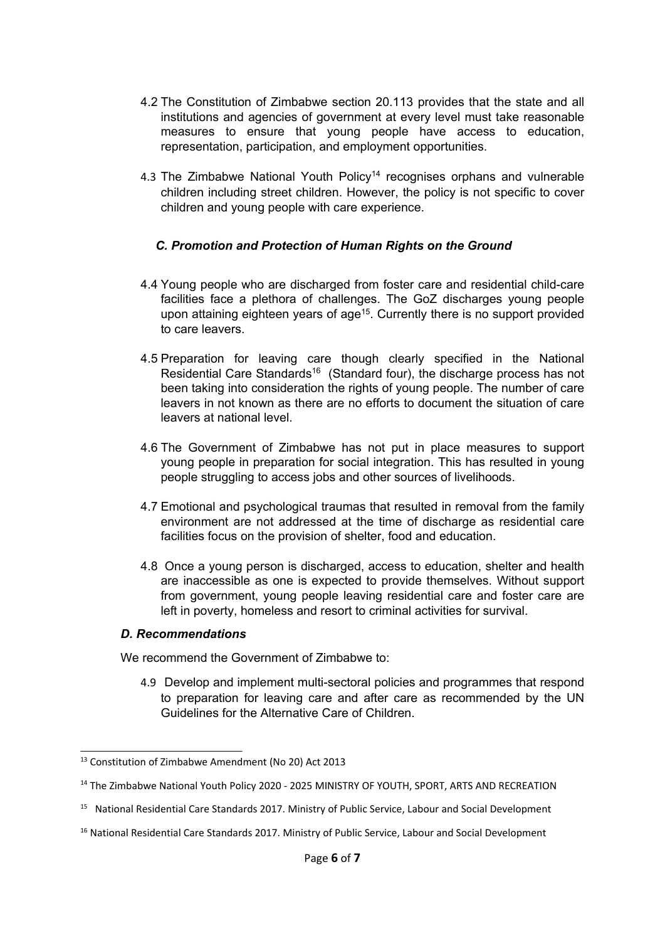- 4.2 The Constitution of Zimbabwe section 20.113 provides that the state and all institutions and agencies of government at every level must take reasonable measures to ensure that young people have access to education, representation, participation, and employment opportunities.
- 4.3 The Zimbabwe National Youth Policy<sup>14</sup> recognises orphans and vulnerable children including street children. However, the policy is not specific to cover children and young people with care experience.

# *C. Promotion and Protection of Human Rights on the Ground*

- 4.4 Young people who are discharged from foster care and residential child-care facilities face <sup>a</sup> plethora of challenges. The GoZ discharges young people upon attaining eighteen years of age<sup>15</sup>. Currently there is no support provided to care leavers.
- 4.5 Preparation for leaving care though clearly specified in the National Residential Care Standards<sup>16</sup> (Standard four), the discharge process has not been taking into consideration the rights of young people. The number of care leavers in not known as there are no efforts to document the situation of care leavers at national level.
- 4.6 The Government of Zimbabwe has not put in place measures to support young people in preparation for social integration. This has resulted in young people struggling to access jobs and other sources of livelihoods.
- 4.7 Emotional and psychological traumas that resulted in removal from the family environment are not addressed at the time of discharge as residential care facilities focus on the provision of shelter, food and education.
- 4.8 Once <sup>a</sup> young person is discharged, access to education, shelter and health are inaccessible as one is expected to provide themselves. Without support from government, young people leaving residential care and foster care are left in poverty, homeless and resort to criminal activities for survival.

#### *D. Recommendations*

We recommend the Government of Zimbabwe to:

4.9 Develop and implement multi-sectoral policies and programmes that respond to preparation for leaving care and after care as recommended by the UN Guidelines for the Alternative Care of Children.

<sup>&</sup>lt;sup>13</sup> Constitution of Zimbabwe Amendment (No 20) Act 2013

<sup>&</sup>lt;sup>14</sup> The Zimbabwe National Youth Policy 2020 - 2025 MINISTRY OF YOUTH, SPORT, ARTS AND RECREATION

<sup>&</sup>lt;sup>15</sup> National Residential Care Standards 2017. Ministry of Public Service, Labour and Social Development

<sup>&</sup>lt;sup>16</sup> National Residential Care Standards 2017. Ministry of Public Service, Labour and Social Development